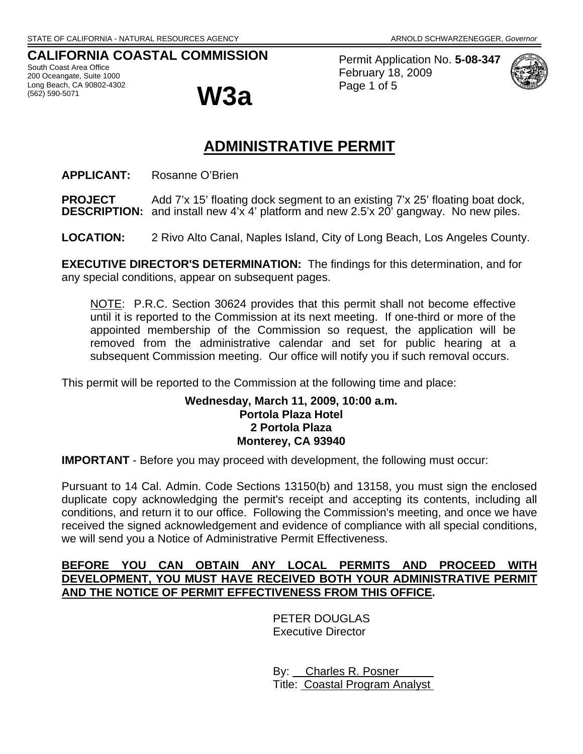## **CALIFORNIA COASTAL COMMISSION**

South Coast Area Office 200 Oceangate, Suite 1000 Long Beach, CA 90802-4302<br>(562) 590-5071



Permit Application No. **5-08-347** February 18, 2009 Page 1 of 5



# **ADMINISTRATIVE PERMIT**

**APPLICANT:** Rosanne O'Brien

**PROJECT** Add 7'x 15' floating dock segment to an existing 7'x 25' floating boat dock, **DESCRIPTION:** and install new 4'x 4' platform and new 2.5'x 20' gangway. No new piles.

**LOCATION:** 2 Rivo Alto Canal, Naples Island, City of Long Beach, Los Angeles County.

**EXECUTIVE DIRECTOR'S DETERMINATION:** The findings for this determination, and for any special conditions, appear on subsequent pages.

NOTE: P.R.C. Section 30624 provides that this permit shall not become effective until it is reported to the Commission at its next meeting. If one-third or more of the appointed membership of the Commission so request, the application will be removed from the administrative calendar and set for public hearing at a subsequent Commission meeting. Our office will notify you if such removal occurs.

This permit will be reported to the Commission at the following time and place:

#### **Wednesday, March 11, 2009, 10:00 a.m. Portola Plaza Hotel 2 Portola Plaza Monterey, CA 93940**

**IMPORTANT** - Before you may proceed with development, the following must occur:

Pursuant to 14 Cal. Admin. Code Sections 13150(b) and 13158, you must sign the enclosed duplicate copy acknowledging the permit's receipt and accepting its contents, including all conditions, and return it to our office. Following the Commission's meeting, and once we have received the signed acknowledgement and evidence of compliance with all special conditions, we will send you a Notice of Administrative Permit Effectiveness.

#### **BEFORE YOU CAN OBTAIN ANY LOCAL PERMITS AND PROCEED WITH DEVELOPMENT, YOU MUST HAVE RECEIVED BOTH YOUR ADMINISTRATIVE PERMIT AND THE NOTICE OF PERMIT EFFECTIVENESS FROM THIS OFFICE.**

 PETER DOUGLAS Executive Director

 By: Charles R. Posner Title: Coastal Program Analyst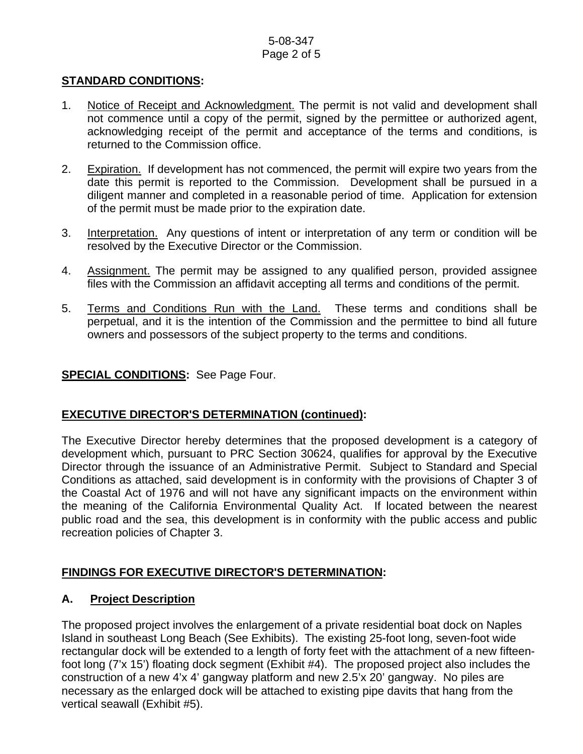#### 5-08-347 Page 2 of 5

## **STANDARD CONDITIONS:**

- 1. Notice of Receipt and Acknowledgment. The permit is not valid and development shall not commence until a copy of the permit, signed by the permittee or authorized agent, acknowledging receipt of the permit and acceptance of the terms and conditions, is returned to the Commission office.
- 2. Expiration. If development has not commenced, the permit will expire two years from the date this permit is reported to the Commission. Development shall be pursued in a diligent manner and completed in a reasonable period of time. Application for extension of the permit must be made prior to the expiration date.
- 3. Interpretation. Any questions of intent or interpretation of any term or condition will be resolved by the Executive Director or the Commission.
- 4. Assignment. The permit may be assigned to any qualified person, provided assignee files with the Commission an affidavit accepting all terms and conditions of the permit.
- 5. Terms and Conditions Run with the Land. These terms and conditions shall be perpetual, and it is the intention of the Commission and the permittee to bind all future owners and possessors of the subject property to the terms and conditions.

## **SPECIAL CONDITIONS:** See Page Four.

#### **EXECUTIVE DIRECTOR'S DETERMINATION (continued):**

The Executive Director hereby determines that the proposed development is a category of development which, pursuant to PRC Section 30624, qualifies for approval by the Executive Director through the issuance of an Administrative Permit. Subject to Standard and Special Conditions as attached, said development is in conformity with the provisions of Chapter 3 of the Coastal Act of 1976 and will not have any significant impacts on the environment within the meaning of the California Environmental Quality Act. If located between the nearest public road and the sea, this development is in conformity with the public access and public recreation policies of Chapter 3.

# **FINDINGS FOR EXECUTIVE DIRECTOR'S DETERMINATION:**

#### **A. Project Description**

The proposed project involves the enlargement of a private residential boat dock on Naples Island in southeast Long Beach (See Exhibits). The existing 25-foot long, seven-foot wide rectangular dock will be extended to a length of forty feet with the attachment of a new fifteenfoot long (7'x 15') floating dock segment (Exhibit #4). The proposed project also includes the construction of a new 4'x 4' gangway platform and new 2.5'x 20' gangway. No piles are necessary as the enlarged dock will be attached to existing pipe davits that hang from the vertical seawall (Exhibit #5).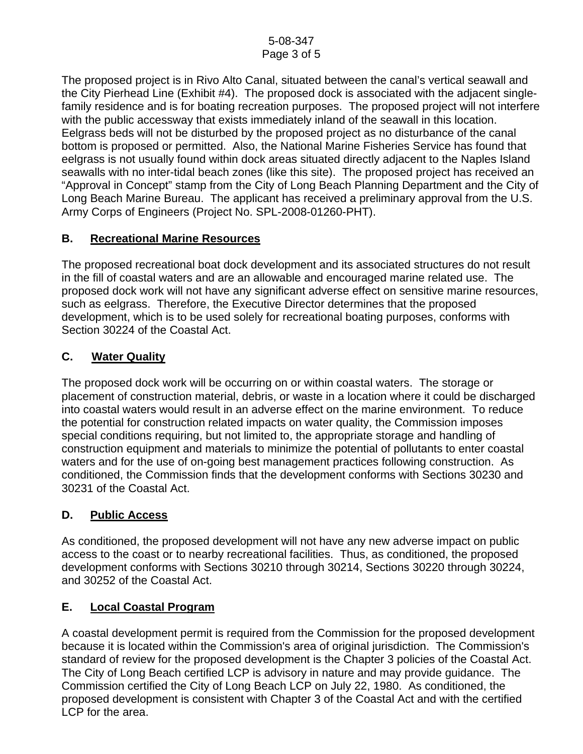The proposed project is in Rivo Alto Canal, situated between the canal's vertical seawall and the City Pierhead Line (Exhibit #4). The proposed dock is associated with the adjacent singlefamily residence and is for boating recreation purposes. The proposed project will not interfere with the public accessway that exists immediately inland of the seawall in this location. Eelgrass beds will not be disturbed by the proposed project as no disturbance of the canal bottom is proposed or permitted. Also, the National Marine Fisheries Service has found that eelgrass is not usually found within dock areas situated directly adjacent to the Naples Island seawalls with no inter-tidal beach zones (like this site). The proposed project has received an "Approval in Concept" stamp from the City of Long Beach Planning Department and the City of Long Beach Marine Bureau. The applicant has received a preliminary approval from the U.S. Army Corps of Engineers (Project No. SPL-2008-01260-PHT).

# **B. Recreational Marine Resources**

The proposed recreational boat dock development and its associated structures do not result in the fill of coastal waters and are an allowable and encouraged marine related use. The proposed dock work will not have any significant adverse effect on sensitive marine resources, such as eelgrass. Therefore, the Executive Director determines that the proposed development, which is to be used solely for recreational boating purposes, conforms with Section 30224 of the Coastal Act.

# **C. Water Quality**

The proposed dock work will be occurring on or within coastal waters. The storage or placement of construction material, debris, or waste in a location where it could be discharged into coastal waters would result in an adverse effect on the marine environment. To reduce the potential for construction related impacts on water quality, the Commission imposes special conditions requiring, but not limited to, the appropriate storage and handling of construction equipment and materials to minimize the potential of pollutants to enter coastal waters and for the use of on-going best management practices following construction. As conditioned, the Commission finds that the development conforms with Sections 30230 and 30231 of the Coastal Act.

# **D. Public Access**

As conditioned, the proposed development will not have any new adverse impact on public access to the coast or to nearby recreational facilities. Thus, as conditioned, the proposed development conforms with Sections 30210 through 30214, Sections 30220 through 30224, and 30252 of the Coastal Act.

# **E. Local Coastal Program**

A coastal development permit is required from the Commission for the proposed development because it is located within the Commission's area of original jurisdiction. The Commission's standard of review for the proposed development is the Chapter 3 policies of the Coastal Act. The City of Long Beach certified LCP is advisory in nature and may provide guidance. The Commission certified the City of Long Beach LCP on July 22, 1980. As conditioned, the proposed development is consistent with Chapter 3 of the Coastal Act and with the certified LCP for the area.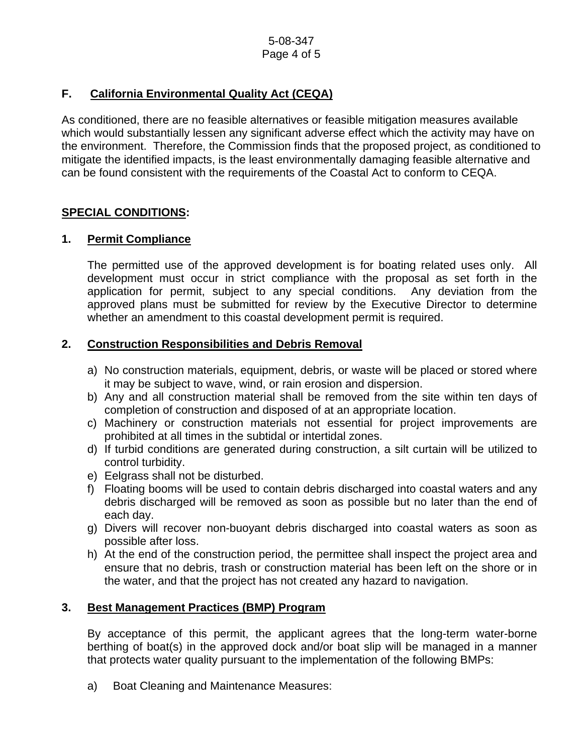# **F. California Environmental Quality Act (CEQA)**

As conditioned, there are no feasible alternatives or feasible mitigation measures available which would substantially lessen any significant adverse effect which the activity may have on the environment. Therefore, the Commission finds that the proposed project, as conditioned to mitigate the identified impacts, is the least environmentally damaging feasible alternative and can be found consistent with the requirements of the Coastal Act to conform to CEQA.

## **SPECIAL CONDITIONS:**

## **1. Permit Compliance**

 The permitted use of the approved development is for boating related uses only. All development must occur in strict compliance with the proposal as set forth in the application for permit, subject to any special conditions. Any deviation from the approved plans must be submitted for review by the Executive Director to determine whether an amendment to this coastal development permit is required.

## **2. Construction Responsibilities and Debris Removal**

- a) No construction materials, equipment, debris, or waste will be placed or stored where it may be subject to wave, wind, or rain erosion and dispersion.
- b) Any and all construction material shall be removed from the site within ten days of completion of construction and disposed of at an appropriate location.
- c) Machinery or construction materials not essential for project improvements are prohibited at all times in the subtidal or intertidal zones.
- d) If turbid conditions are generated during construction, a silt curtain will be utilized to control turbidity.
- e) Eelgrass shall not be disturbed.
- f) Floating booms will be used to contain debris discharged into coastal waters and any debris discharged will be removed as soon as possible but no later than the end of each day.
- g) Divers will recover non-buoyant debris discharged into coastal waters as soon as possible after loss.
- h) At the end of the construction period, the permittee shall inspect the project area and ensure that no debris, trash or construction material has been left on the shore or in the water, and that the project has not created any hazard to navigation.

#### **3. Best Management Practices (BMP) Program**

By acceptance of this permit, the applicant agrees that the long-term water-borne berthing of boat(s) in the approved dock and/or boat slip will be managed in a manner that protects water quality pursuant to the implementation of the following BMPs:

a) Boat Cleaning and Maintenance Measures: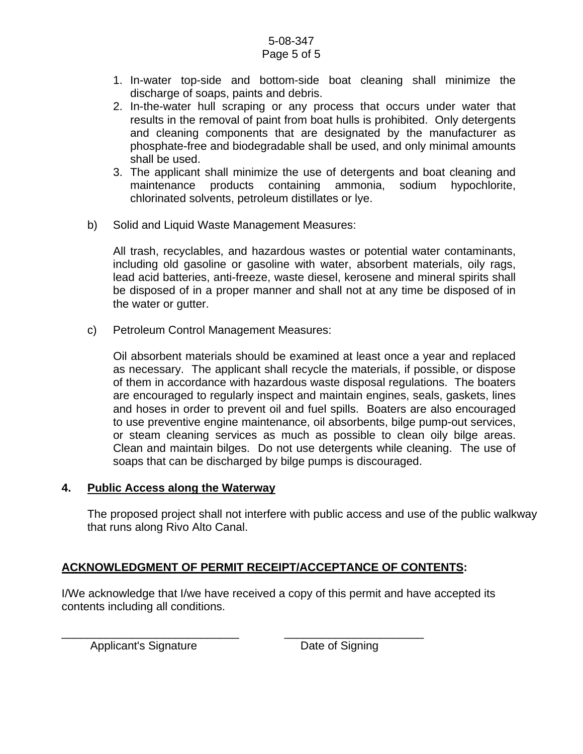#### 5-08-347 Page 5 of 5

- 1. In-water top-side and bottom-side boat cleaning shall minimize the discharge of soaps, paints and debris.
- 2. In-the-water hull scraping or any process that occurs under water that results in the removal of paint from boat hulls is prohibited. Only detergents and cleaning components that are designated by the manufacturer as phosphate-free and biodegradable shall be used, and only minimal amounts shall be used.
- 3. The applicant shall minimize the use of detergents and boat cleaning and maintenance products containing ammonia, sodium hypochlorite, chlorinated solvents, petroleum distillates or lye.
- b) Solid and Liquid Waste Management Measures:

All trash, recyclables, and hazardous wastes or potential water contaminants, including old gasoline or gasoline with water, absorbent materials, oily rags, lead acid batteries, anti-freeze, waste diesel, kerosene and mineral spirits shall be disposed of in a proper manner and shall not at any time be disposed of in the water or gutter.

c) Petroleum Control Management Measures:

Oil absorbent materials should be examined at least once a year and replaced as necessary. The applicant shall recycle the materials, if possible, or dispose of them in accordance with hazardous waste disposal regulations. The boaters are encouraged to regularly inspect and maintain engines, seals, gaskets, lines and hoses in order to prevent oil and fuel spills. Boaters are also encouraged to use preventive engine maintenance, oil absorbents, bilge pump-out services, or steam cleaning services as much as possible to clean oily bilge areas. Clean and maintain bilges. Do not use detergents while cleaning. The use of soaps that can be discharged by bilge pumps is discouraged.

#### **4. Public Access along the Waterway**

The proposed project shall not interfere with public access and use of the public walkway that runs along Rivo Alto Canal.

# **ACKNOWLEDGMENT OF PERMIT RECEIPT/ACCEPTANCE OF CONTENTS:**

\_\_\_\_\_\_\_\_\_\_\_\_\_\_\_\_\_\_\_\_\_\_\_\_\_\_\_\_ \_\_\_\_\_\_\_\_\_\_\_\_\_\_\_\_\_\_\_\_\_\_

I/We acknowledge that I/we have received a copy of this permit and have accepted its contents including all conditions.

Applicant's Signature Date of Signing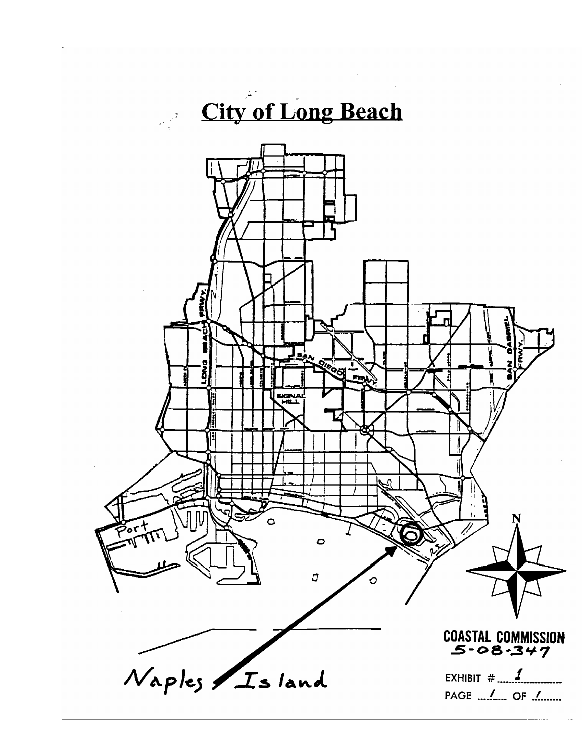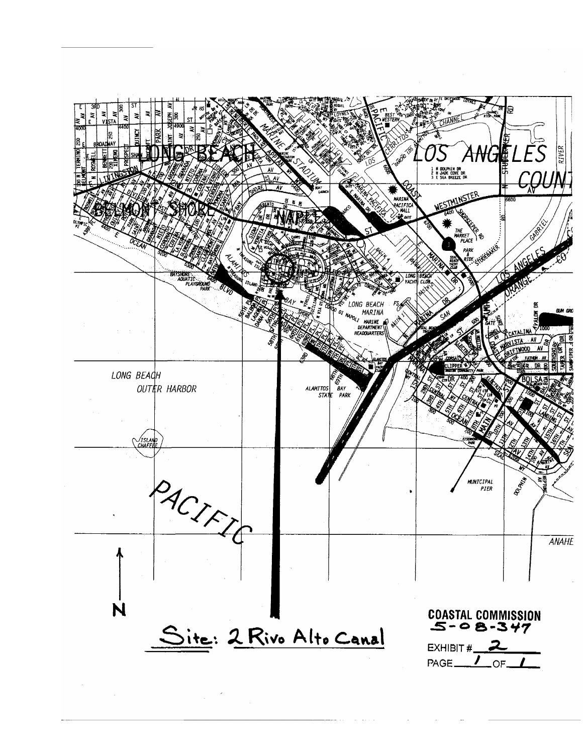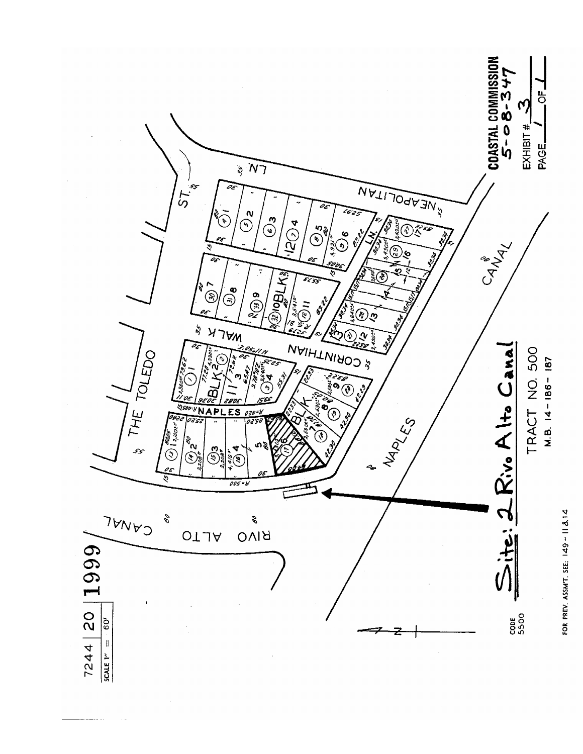

FOR PREV. ASSMT. SEE: 149-11814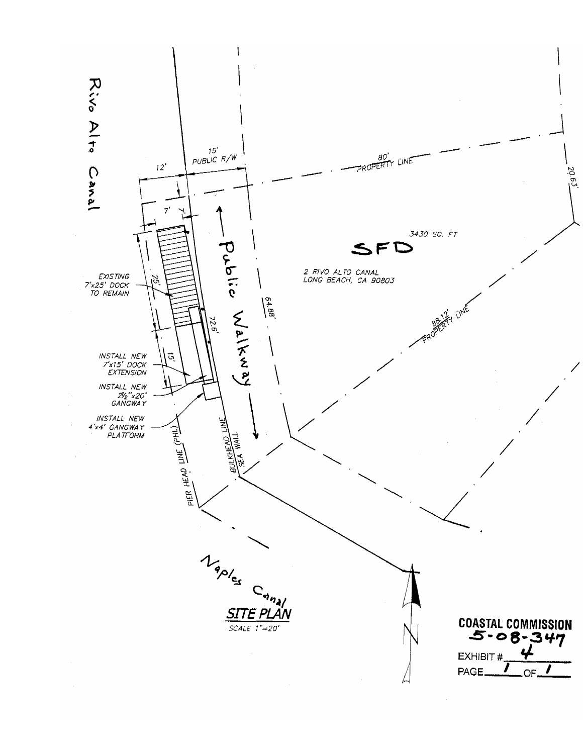